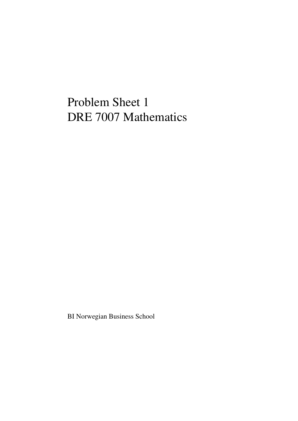## Problem Sheet 1 DRE 7007 Mathematics

BI Norwegian Business School